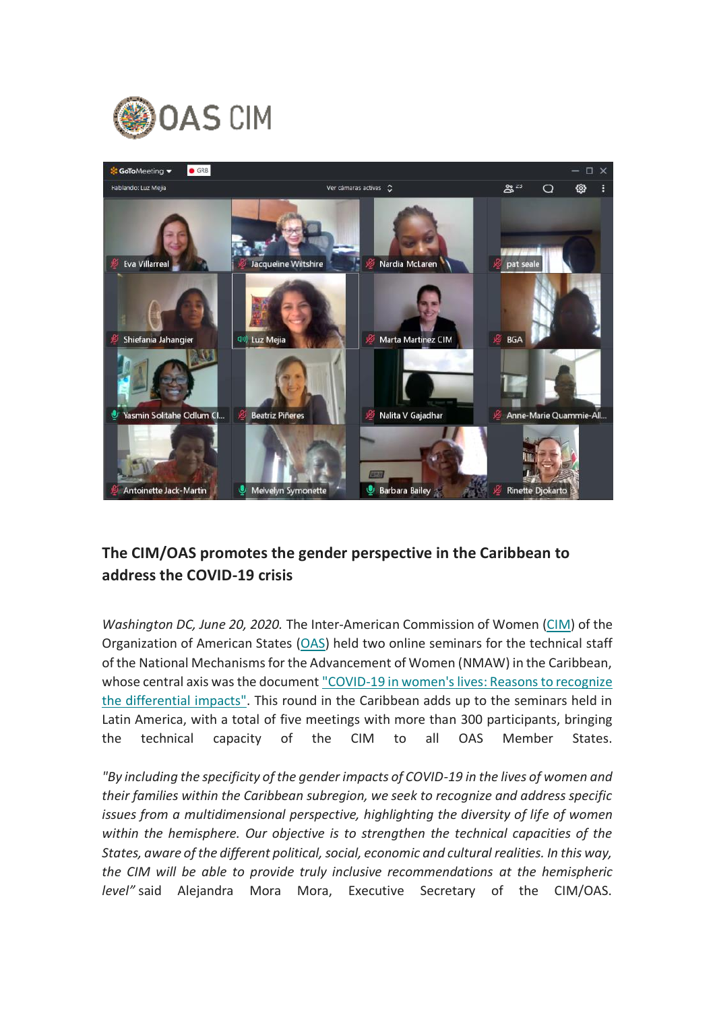



## **The CIM/OAS promotes the gender perspective in the Caribbean to address the COVID-19 crisis**

*Washington DC, June 20, 2020.* The Inter-American Commission of Women [\(CIM\)](http://www.oas.org/en/cim/default.asp) of the Organization of American States [\(OAS\)](http://www.oas.org/en/default.asp) held two online seminars for the technical staff of the National Mechanisms for the Advancement of Women (NMAW) in the Caribbean, whose central axis was the document ["COVID-19 in women's lives: Reasons to recognize](http://www.oas.org/es/cim/docs/ArgumentarioCOVID19-EN.pdf)  [the differential impacts".](http://www.oas.org/es/cim/docs/ArgumentarioCOVID19-EN.pdf) This round in the Caribbean adds up to the seminars held in Latin America, with a total of five meetings with more than 300 participants, bringing the technical capacity of the CIM to all OAS Member States.

*"By including the specificity of the gender impacts of COVID-19 in the lives of women and their families within the Caribbean subregion, we seek to recognize and address specific issues from a multidimensional perspective, highlighting the diversity of life of women within the hemisphere. Our objective is to strengthen the technical capacities of the States, aware of the different political, social, economic and cultural realities. In this way, the CIM will be able to provide truly inclusive recommendations at the hemispheric level"* said Alejandra Mora Mora, Executive Secretary of the CIM/OAS.